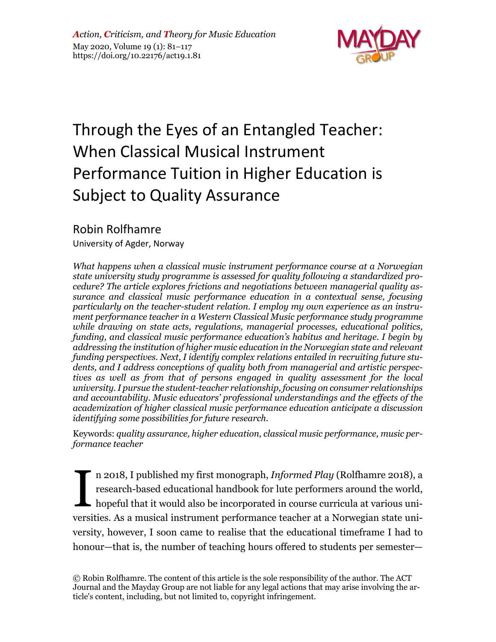

# Through the Eyes of an Entangled Teacher: When Classical Musical Instrument Performance Tuition in Higher Education is Subject to Quality Assurance

# Robin Rolfhamre

University of Agder, Norway

*What happens when a classical music instrument performance course at a Norwegian state university study programme is assessed for quality following a standardized procedure? The article explores frictions and negotiations between managerial quality assurance and classical music performance education in a contextual sense, focusing particularly on the teacher-student relation. I employ my own experience as an instrument performance teacher in a Western Classical Music performance study programme while drawing on state acts, regulations, managerial processes, educational politics, funding, and classical music performance education's habitus and heritage. I begin by addressing the institution of higher music education in the Norwegian state and relevant funding perspectives. Next, I identify complex relations entailed in recruiting future students, and I address conceptions of quality both from managerial and artistic perspectives as well as from that of persons engaged in quality assessment for the local university. I pursue the student-teacher relationship, focusing on consumer relationships and accountability. Music educators' professional understandings and the effects of the academization of higher classical music performance education anticipate a discussion identifying some possibilities for future research.*

Keywords: *quality assurance, higher education, classical music performance, music performance teacher*

n 2018, I published my first monograph, *Informed Play* (Rolfhamre 2018), a research-based educational handbook for lute performers around the world, hopeful that it would also be incorporated in course curricula at various universities. As a musical instrument performance teacher at a Norwegian state university, however, I soon came to realise that the educational timeframe I had to honour—that is, the number of teaching hours offered to students per semester— I

© Robin Rolfhamre. The content of this article is the sole responsibility of the author. The ACT Journal and the Mayday Group are not liable for any legal actions that may arise involving the article's content, including, but not limited to, copyright infringement.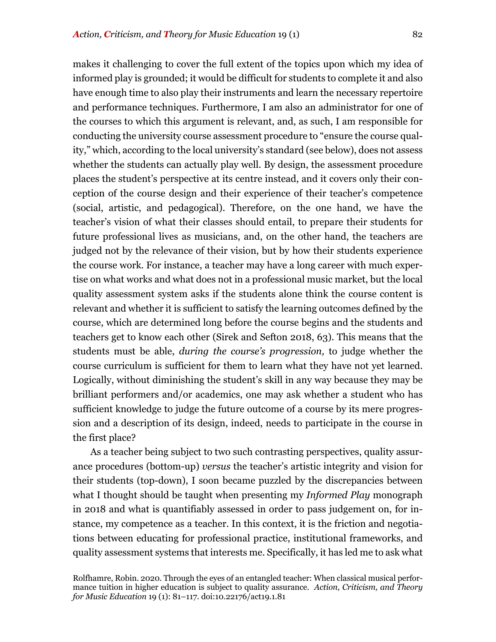makes it challenging to cover the full extent of the topics upon which my idea of informed play is grounded; it would be difficult for students to complete it and also have enough time to also play their instruments and learn the necessary repertoire and performance techniques. Furthermore, I am also an administrator for one of the courses to which this argument is relevant, and, as such, I am responsible for conducting the university course assessment procedure to "ensure the course quality," which, according to the local university's standard (see below), does not assess whether the students can actually play well. By design, the assessment procedure places the student's perspective at its centre instead, and it covers only their conception of the course design and their experience of their teacher's competence (social, artistic, and pedagogical). Therefore, on the one hand, we have the teacher's vision of what their classes should entail, to prepare their students for future professional lives as musicians, and, on the other hand, the teachers are judged not by the relevance of their vision, but by how their students experience the course work. For instance, a teacher may have a long career with much expertise on what works and what does not in a professional music market, but the local quality assessment system asks if the students alone think the course content is relevant and whether it is sufficient to satisfy the learning outcomes defined by the course, which are determined long before the course begins and the students and teachers get to know each other (Sirek and Sefton 2018, 63). This means that the students must be able, *during the course's progression,* to judge whether the course curriculum is sufficient for them to learn what they have not yet learned. Logically, without diminishing the student's skill in any way because they may be brilliant performers and/or academics, one may ask whether a student who has sufficient knowledge to judge the future outcome of a course by its mere progression and a description of its design, indeed, needs to participate in the course in the first place?

As a teacher being subject to two such contrasting perspectives, quality assurance procedures (bottom-up) *versus* the teacher's artistic integrity and vision for their students (top-down), I soon became puzzled by the discrepancies between what I thought should be taught when presenting my *Informed Play* monograph in 2018 and what is quantifiably assessed in order to pass judgement on, for instance, my competence as a teacher. In this context, it is the friction and negotiations between educating for professional practice, institutional frameworks, and quality assessment systems that interests me. Specifically, it has led me to ask what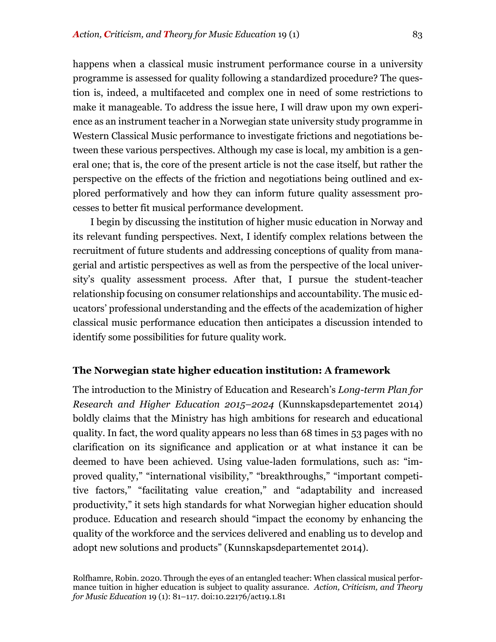happens when a classical music instrument performance course in a university programme is assessed for quality following a standardized procedure? The question is, indeed, a multifaceted and complex one in need of some restrictions to make it manageable. To address the issue here, I will draw upon my own experience as an instrument teacher in a Norwegian state university study programme in Western Classical Music performance to investigate frictions and negotiations between these various perspectives. Although my case is local, my ambition is a general one; that is, the core of the present article is not the case itself, but rather the perspective on the effects of the friction and negotiations being outlined and explored performatively and how they can inform future quality assessment processes to better fit musical performance development.

I begin by discussing the institution of higher music education in Norway and its relevant funding perspectives. Next, I identify complex relations between the recruitment of future students and addressing conceptions of quality from managerial and artistic perspectives as well as from the perspective of the local university's quality assessment process. After that, I pursue the student-teacher relationship focusing on consumer relationships and accountability. The music educators' professional understanding and the effects of the academization of higher classical music performance education then anticipates a discussion intended to identify some possibilities for future quality work.

### **The Norwegian state higher education institution: A framework**

The introduction to the Ministry of Education and Research's *Long-term Plan for Research and Higher Education 2015–2024* (Kunnskapsdepartementet 2014) boldly claims that the Ministry has high ambitions for research and educational quality. In fact, the word quality appears no less than 68 times in 53 pages with no clarification on its significance and application or at what instance it can be deemed to have been achieved. Using value-laden formulations, such as: "improved quality," "international visibility," "breakthroughs," "important competitive factors," "facilitating value creation," and "adaptability and increased productivity," it sets high standards for what Norwegian higher education should produce. Education and research should "impact the economy by enhancing the quality of the workforce and the services delivered and enabling us to develop and adopt new solutions and products" (Kunnskapsdepartementet 2014).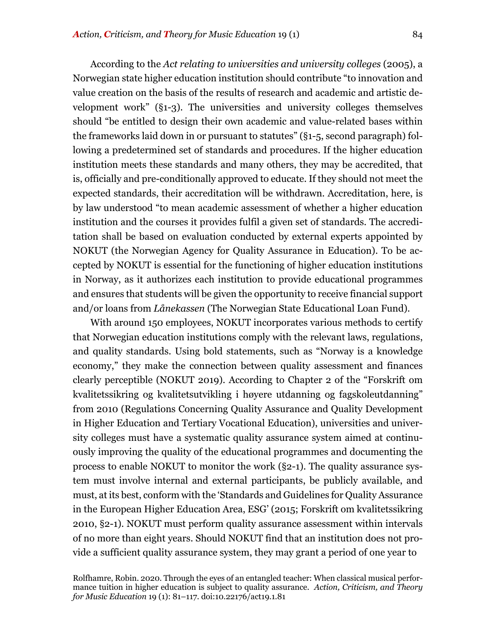According to the *Act relating to universities and university colleges* (2005), a Norwegian state higher education institution should contribute "to innovation and value creation on the basis of the results of research and academic and artistic development work" (§1-3). The universities and university colleges themselves should "be entitled to design their own academic and value-related bases within the frameworks laid down in or pursuant to statutes" (§1-5, second paragraph) following a predetermined set of standards and procedures. If the higher education institution meets these standards and many others, they may be accredited, that is, officially and pre-conditionally approved to educate. If they should not meet the expected standards, their accreditation will be withdrawn. Accreditation, here, is by law understood "to mean academic assessment of whether a higher education institution and the courses it provides fulfil a given set of standards. The accreditation shall be based on evaluation conducted by external experts appointed by NOKUT (the Norwegian Agency for Quality Assurance in Education). To be accepted by NOKUT is essential for the functioning of higher education institutions in Norway, as it authorizes each institution to provide educational programmes and ensures that students will be given the opportunity to receive financial support and/or loans from *Lånekassen* (The Norwegian State Educational Loan Fund).

With around 150 employees, NOKUT incorporates various methods to certify that Norwegian education institutions comply with the relevant laws, regulations, and quality standards. Using bold statements, such as "Norway is a knowledge economy," they make the connection between quality assessment and finances clearly perceptible (NOKUT 2019). According to Chapter 2 of the "Forskrift om kvalitetssikring og kvalitetsutvikling i høyere utdanning og fagskoleutdanning" from 2010 (Regulations Concerning Quality Assurance and Quality Development in Higher Education and Tertiary Vocational Education), universities and university colleges must have a systematic quality assurance system aimed at continuously improving the quality of the educational programmes and documenting the process to enable NOKUT to monitor the work (§2-1). The quality assurance system must involve internal and external participants, be publicly available, and must, at its best, conform with the 'Standards and Guidelines for Quality Assurance in the European Higher Education Area, ESG' (2015; Forskrift om kvalitetssikring 2010, §2-1). NOKUT must perform quality assurance assessment within intervals of no more than eight years. Should NOKUT find that an institution does not provide a sufficient quality assurance system, they may grant a period of one year to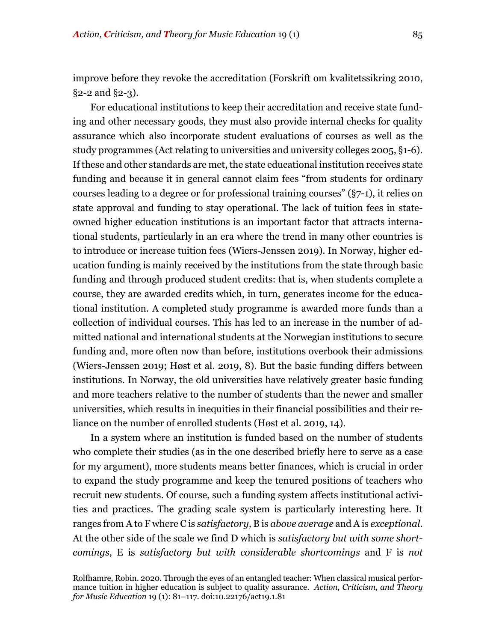improve before they revoke the accreditation (Forskrift om kvalitetssikring 2010,  $\S$ 2-2 and  $\S$ 2-3).

For educational institutions to keep their accreditation and receive state funding and other necessary goods, they must also provide internal checks for quality assurance which also incorporate student evaluations of courses as well as the study programmes (Act relating to universities and university colleges 2005, §1-6). If these and other standards are met, the state educational institution receives state funding and because it in general cannot claim fees "from students for ordinary courses leading to a degree or for professional training courses" (§7-1), it relies on state approval and funding to stay operational. The lack of tuition fees in stateowned higher education institutions is an important factor that attracts international students, particularly in an era where the trend in many other countries is to introduce or increase tuition fees (Wiers-Jenssen 2019). In Norway, higher education funding is mainly received by the institutions from the state through basic funding and through produced student credits: that is, when students complete a course, they are awarded credits which, in turn, generates income for the educational institution. A completed study programme is awarded more funds than a collection of individual courses. This has led to an increase in the number of admitted national and international students at the Norwegian institutions to secure funding and, more often now than before, institutions overbook their admissions (Wiers-Jenssen 2019; Høst et al. 2019, 8). But the basic funding differs between institutions. In Norway, the old universities have relatively greater basic funding and more teachers relative to the number of students than the newer and smaller universities, which results in inequities in their financial possibilities and their reliance on the number of enrolled students (Høst et al. 2019, 14).

In a system where an institution is funded based on the number of students who complete their studies (as in the one described briefly here to serve as a case for my argument), more students means better finances, which is crucial in order to expand the study programme and keep the tenured positions of teachers who recruit new students. Of course, such a funding system affects institutional activities and practices. The grading scale system is particularly interesting here. It ranges from A to F where C is *satisfactory,* B is *above average* and A is *exceptional*. At the other side of the scale we find D which is *satisfactory but with some shortcomings*, E is *satisfactory but with considerable shortcomings* and F is *not*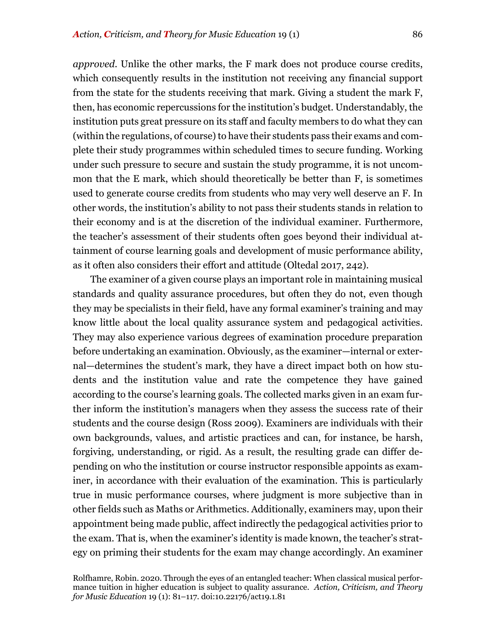*approved*. Unlike the other marks, the F mark does not produce course credits, which consequently results in the institution not receiving any financial support from the state for the students receiving that mark. Giving a student the mark F, then, has economic repercussions for the institution's budget. Understandably, the institution puts great pressure on its staff and faculty members to do what they can (within the regulations, of course) to have their students pass their exams and complete their study programmes within scheduled times to secure funding. Working under such pressure to secure and sustain the study programme, it is not uncommon that the E mark, which should theoretically be better than F, is sometimes used to generate course credits from students who may very well deserve an F. In other words, the institution's ability to not pass their students stands in relation to their economy and is at the discretion of the individual examiner. Furthermore, the teacher's assessment of their students often goes beyond their individual attainment of course learning goals and development of music performance ability, as it often also considers their effort and attitude (Oltedal 2017, 242).

The examiner of a given course plays an important role in maintaining musical standards and quality assurance procedures, but often they do not, even though they may be specialists in their field, have any formal examiner's training and may know little about the local quality assurance system and pedagogical activities. They may also experience various degrees of examination procedure preparation before undertaking an examination. Obviously, as the examiner—internal or external—determines the student's mark, they have a direct impact both on how students and the institution value and rate the competence they have gained according to the course's learning goals. The collected marks given in an exam further inform the institution's managers when they assess the success rate of their students and the course design (Ross 2009). Examiners are individuals with their own backgrounds, values, and artistic practices and can, for instance, be harsh, forgiving, understanding, or rigid. As a result, the resulting grade can differ depending on who the institution or course instructor responsible appoints as examiner, in accordance with their evaluation of the examination. This is particularly true in music performance courses, where judgment is more subjective than in other fields such as Maths or Arithmetics. Additionally, examiners may, upon their appointment being made public, affect indirectly the pedagogical activities prior to the exam. That is, when the examiner's identity is made known, the teacher's strategy on priming their students for the exam may change accordingly. An examiner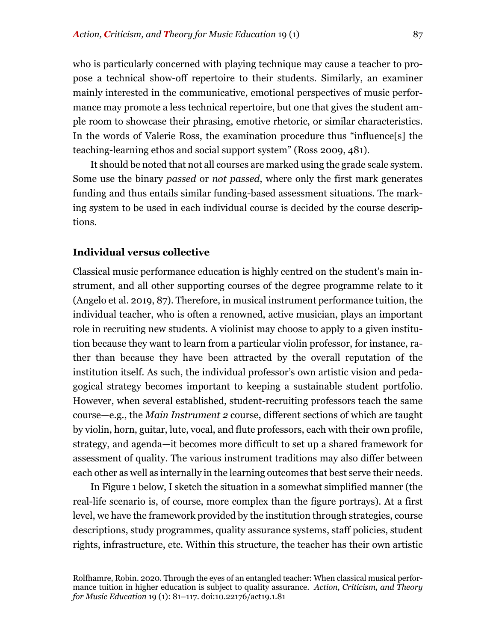who is particularly concerned with playing technique may cause a teacher to propose a technical show-off repertoire to their students. Similarly, an examiner mainly interested in the communicative, emotional perspectives of music performance may promote a less technical repertoire, but one that gives the student ample room to showcase their phrasing, emotive rhetoric, or similar characteristics. In the words of Valerie Ross, the examination procedure thus "influence[s] the teaching-learning ethos and social support system" (Ross 2009, 481).

It should be noted that not all courses are marked using the grade scale system. Some use the binary *passed* or *not passed*, where only the first mark generates funding and thus entails similar funding-based assessment situations. The marking system to be used in each individual course is decided by the course descriptions.

#### **Individual versus collective**

Classical music performance education is highly centred on the student's main instrument, and all other supporting courses of the degree programme relate to it (Angelo et al. 2019, 87). Therefore, in musical instrument performance tuition, the individual teacher, who is often a renowned, active musician, plays an important role in recruiting new students. A violinist may choose to apply to a given institution because they want to learn from a particular violin professor, for instance, rather than because they have been attracted by the overall reputation of the institution itself. As such, the individual professor's own artistic vision and pedagogical strategy becomes important to keeping a sustainable student portfolio. However, when several established, student-recruiting professors teach the same course—e.g., the *Main Instrument 2* course, different sections of which are taught by violin, horn, guitar, lute, vocal, and flute professors, each with their own profile, strategy, and agenda—it becomes more difficult to set up a shared framework for assessment of quality. The various instrument traditions may also differ between each other as well as internally in the learning outcomes that best serve their needs.

In Figure 1 below, I sketch the situation in a somewhat simplified manner (the real-life scenario is, of course, more complex than the figure portrays). At a first level, we have the framework provided by the institution through strategies, course descriptions, study programmes, quality assurance systems, staff policies, student rights, infrastructure, etc. Within this structure, the teacher has their own artistic

Rolfhamre, Robin. 2020. Through the eyes of an entangled teacher: When classical musical performance tuition in higher education is subject to quality assurance. *Action, Criticism, and Theory for Music Education* 19 (1): 81–117. doi:10.22176/act19.1.81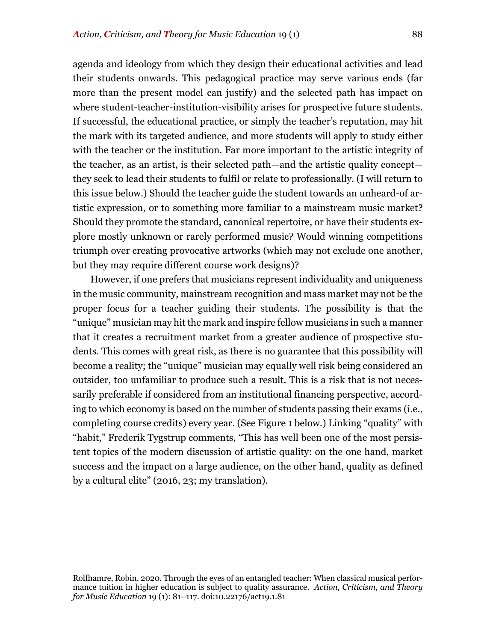agenda and ideology from which they design their educational activities and lead their students onwards. This pedagogical practice may serve various ends (far more than the present model can justify) and the selected path has impact on where student-teacher-institution-visibility arises for prospective future students. If successful, the educational practice, or simply the teacher's reputation, may hit the mark with its targeted audience, and more students will apply to study either with the teacher or the institution. Far more important to the artistic integrity of the teacher, as an artist, is their selected path—and the artistic quality concept they seek to lead their students to fulfil or relate to professionally. (I will return to this issue below.) Should the teacher guide the student towards an unheard-of artistic expression, or to something more familiar to a mainstream music market? Should they promote the standard, canonical repertoire, or have their students explore mostly unknown or rarely performed music? Would winning competitions triumph over creating provocative artworks (which may not exclude one another, but they may require different course work designs)?

However, if one prefers that musicians represent individuality and uniqueness in the music community, mainstream recognition and mass market may not be the proper focus for a teacher guiding their students. The possibility is that the "unique" musician may hit the mark and inspire fellow musicians in such a manner that it creates a recruitment market from a greater audience of prospective students. This comes with great risk, as there is no guarantee that this possibility will become a reality; the "unique" musician may equally well risk being considered an outsider, too unfamiliar to produce such a result. This is a risk that is not necessarily preferable if considered from an institutional financing perspective, according to which economy is based on the number of students passing their exams (i.e., completing course credits) every year. (See Figure 1 below.) Linking "quality" with "habit," Frederik Tygstrup comments, "This has well been one of the most persistent topics of the modern discussion of artistic quality: on the one hand, market success and the impact on a large audience, on the other hand, quality as defined by a cultural elite" (2016, 23; my translation).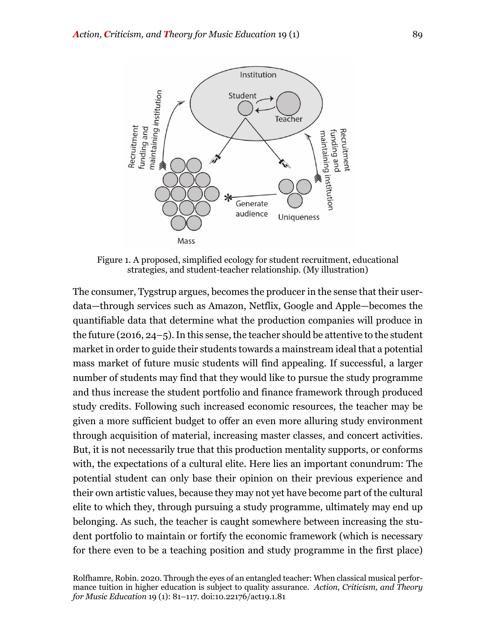

Figure 1. A proposed, simplified ecology for student recruitment, educational strategies, and student-teacher relationship. (My illustration)

The consumer, Tygstrup argues, becomes the producer in the sense that their userdata—through services such as Amazon, Netflix, Google and Apple—becomes the quantifiable data that determine what the production companies will produce in the future (2016, 24–5). In this sense, the teacher should be attentive to the student market in order to guide their students towards a mainstream ideal that a potential mass market of future music students will find appealing. If successful, a larger number of students may find that they would like to pursue the study programme and thus increase the student portfolio and finance framework through produced study credits. Following such increased economic resources, the teacher may be given a more sufficient budget to offer an even more alluring study environment through acquisition of material, increasing master classes, and concert activities. But, it is not necessarily true that this production mentality supports, or conforms with, the expectations of a cultural elite. Here lies an important conundrum: The potential student can only base their opinion on their previous experience and their own artistic values, because they may not yet have become part of the cultural elite to which they, through pursuing a study programme, ultimately may end up belonging. As such, the teacher is caught somewhere between increasing the student portfolio to maintain or fortify the economic framework (which is necessary for there even to be a teaching position and study programme in the first place)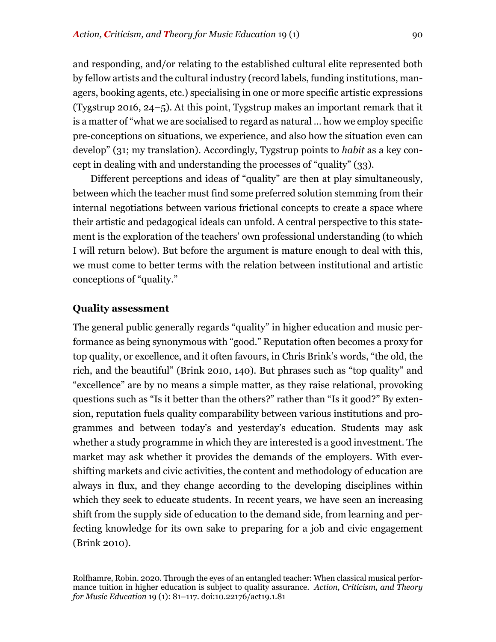and responding, and/or relating to the established cultural elite represented both by fellow artists and the cultural industry (record labels, funding institutions, managers, booking agents, etc.) specialising in one or more specific artistic expressions (Tygstrup 2016, 24–5). At this point, Tygstrup makes an important remark that it is a matter of "what we are socialised to regard as natural … how we employ specific pre-conceptions on situations, we experience, and also how the situation even can develop" (31; my translation). Accordingly, Tygstrup points to *habit* as a key concept in dealing with and understanding the processes of "quality" (33).

Different perceptions and ideas of "quality" are then at play simultaneously, between which the teacher must find some preferred solution stemming from their internal negotiations between various frictional concepts to create a space where their artistic and pedagogical ideals can unfold. A central perspective to this statement is the exploration of the teachers' own professional understanding (to which I will return below). But before the argument is mature enough to deal with this, we must come to better terms with the relation between institutional and artistic conceptions of "quality."

# **Quality assessment**

The general public generally regards "quality" in higher education and music performance as being synonymous with "good." Reputation often becomes a proxy for top quality, or excellence, and it often favours, in Chris Brink's words, "the old, the rich, and the beautiful" (Brink 2010, 140). But phrases such as "top quality" and "excellence" are by no means a simple matter, as they raise relational, provoking questions such as "Is it better than the others?" rather than "Is it good?" By extension, reputation fuels quality comparability between various institutions and programmes and between today's and yesterday's education. Students may ask whether a study programme in which they are interested is a good investment. The market may ask whether it provides the demands of the employers. With evershifting markets and civic activities, the content and methodology of education are always in flux, and they change according to the developing disciplines within which they seek to educate students. In recent years, we have seen an increasing shift from the supply side of education to the demand side, from learning and perfecting knowledge for its own sake to preparing for a job and civic engagement (Brink 2010).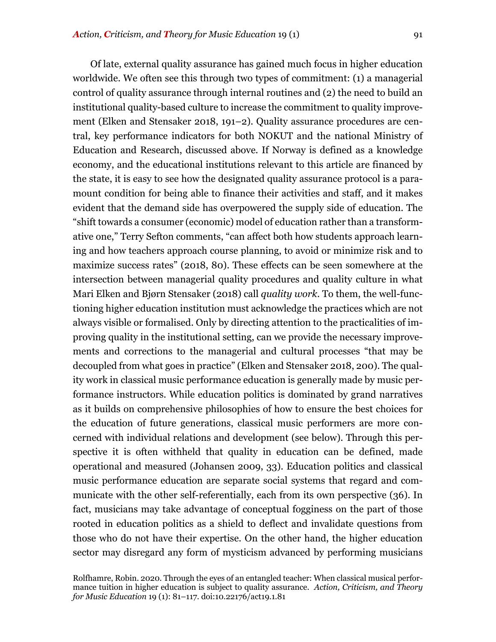Of late, external quality assurance has gained much focus in higher education worldwide. We often see this through two types of commitment: (1) a managerial control of quality assurance through internal routines and (2) the need to build an institutional quality-based culture to increase the commitment to quality improvement (Elken and Stensaker 2018, 191–2). Quality assurance procedures are central, key performance indicators for both NOKUT and the national Ministry of Education and Research, discussed above. If Norway is defined as a knowledge economy, and the educational institutions relevant to this article are financed by the state, it is easy to see how the designated quality assurance protocol is a paramount condition for being able to finance their activities and staff, and it makes evident that the demand side has overpowered the supply side of education. The "shift towards a consumer (economic) model of education rather than a transformative one," Terry Sefton comments, "can affect both how students approach learning and how teachers approach course planning, to avoid or minimize risk and to maximize success rates" (2018, 80). These effects can be seen somewhere at the intersection between managerial quality procedures and quality culture in what Mari Elken and Bjørn Stensaker (2018) call *quality work*. To them, the well-functioning higher education institution must acknowledge the practices which are not always visible or formalised. Only by directing attention to the practicalities of improving quality in the institutional setting, can we provide the necessary improvements and corrections to the managerial and cultural processes "that may be decoupled from what goes in practice" (Elken and Stensaker 2018, 200). The quality work in classical music performance education is generally made by music performance instructors. While education politics is dominated by grand narratives as it builds on comprehensive philosophies of how to ensure the best choices for the education of future generations, classical music performers are more concerned with individual relations and development (see below). Through this perspective it is often withheld that quality in education can be defined, made operational and measured (Johansen 2009, 33). Education politics and classical music performance education are separate social systems that regard and communicate with the other self-referentially, each from its own perspective (36). In fact, musicians may take advantage of conceptual fogginess on the part of those rooted in education politics as a shield to deflect and invalidate questions from those who do not have their expertise. On the other hand, the higher education sector may disregard any form of mysticism advanced by performing musicians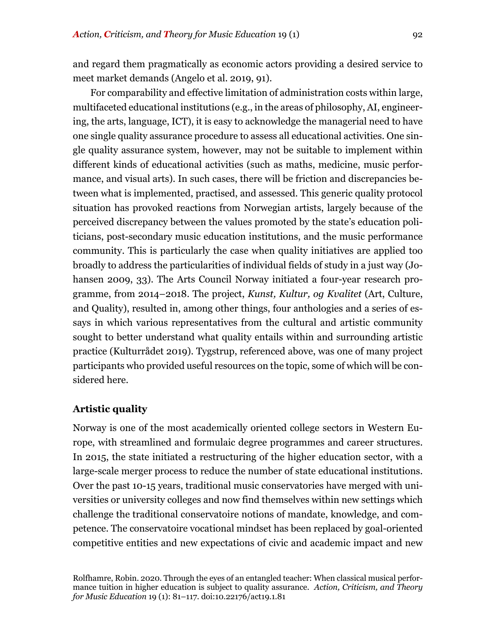and regard them pragmatically as economic actors providing a desired service to meet market demands (Angelo et al. 2019, 91).

For comparability and effective limitation of administration costs within large, multifaceted educational institutions (e.g., in the areas of philosophy, AI, engineering, the arts, language, ICT), it is easy to acknowledge the managerial need to have one single quality assurance procedure to assess all educational activities. One single quality assurance system, however, may not be suitable to implement within different kinds of educational activities (such as maths, medicine, music performance, and visual arts). In such cases, there will be friction and discrepancies between what is implemented, practised, and assessed. This generic quality protocol situation has provoked reactions from Norwegian artists, largely because of the perceived discrepancy between the values promoted by the state's education politicians, post-secondary music education institutions, and the music performance community. This is particularly the case when quality initiatives are applied too broadly to address the particularities of individual fields of study in a just way (Johansen 2009, 33). The Arts Council Norway initiated a four-year research programme, from 2014–2018. The project, *Kunst, Kultur, og Kvalitet* (Art, Culture, and Quality), resulted in, among other things, four anthologies and a series of essays in which various representatives from the cultural and artistic community sought to better understand what quality entails within and surrounding artistic practice (Kulturrådet 2019). Tygstrup, referenced above, was one of many project participants who provided useful resources on the topic, some of which will be considered here.

#### **Artistic quality**

Norway is one of the most academically oriented college sectors in Western Europe, with streamlined and formulaic degree programmes and career structures. In 2015, the state initiated a restructuring of the higher education sector, with a large-scale merger process to reduce the number of state educational institutions. Over the past 10-15 years, traditional music conservatories have merged with universities or university colleges and now find themselves within new settings which challenge the traditional conservatoire notions of mandate, knowledge, and competence. The conservatoire vocational mindset has been replaced by goal-oriented competitive entities and new expectations of civic and academic impact and new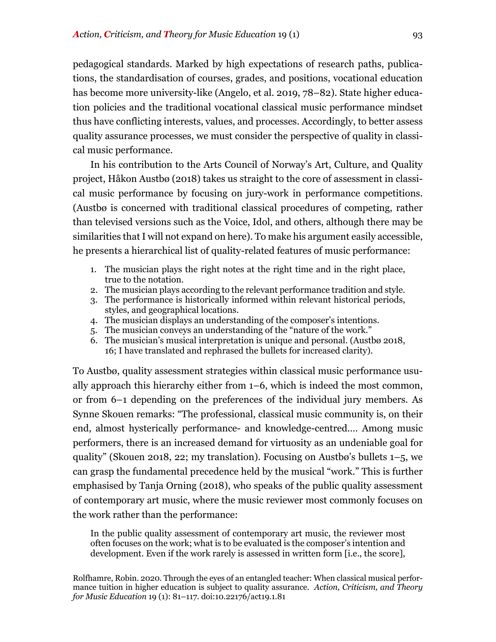pedagogical standards. Marked by high expectations of research paths, publications, the standardisation of courses, grades, and positions, vocational education has become more university-like (Angelo, et al. 2019, 78–82). State higher education policies and the traditional vocational classical music performance mindset thus have conflicting interests, values, and processes. Accordingly, to better assess quality assurance processes, we must consider the perspective of quality in classical music performance.

In his contribution to the Arts Council of Norway's Art, Culture, and Quality project, Håkon Austbø (2018) takes us straight to the core of assessment in classical music performance by focusing on jury-work in performance competitions. (Austbø is concerned with traditional classical procedures of competing, rather than televised versions such as the Voice, Idol, and others, although there may be similarities that I will not expand on here). To make his argument easily accessible, he presents a hierarchical list of quality-related features of music performance:

- 1. The musician plays the right notes at the right time and in the right place, true to the notation.
- 2. The musician plays according to the relevant performance tradition and style.
- 3. The performance is historically informed within relevant historical periods, styles, and geographical locations.
- 4. The musician displays an understanding of the composer's intentions.
- 5. The musician conveys an understanding of the "nature of the work."
- 6. The musician's musical interpretation is unique and personal. (Austbø 2018, 16; I have translated and rephrased the bullets for increased clarity).

To Austbø, quality assessment strategies within classical music performance usually approach this hierarchy either from 1–6, which is indeed the most common, or from 6–1 depending on the preferences of the individual jury members. As Synne Skouen remarks: "The professional, classical music community is, on their end, almost hysterically performance- and knowledge-centred.… Among music performers, there is an increased demand for virtuosity as an undeniable goal for quality" (Skouen 2018, 22; my translation). Focusing on Austbø's bullets 1–5, we can grasp the fundamental precedence held by the musical "work." This is further emphasised by Tanja Orning (2018), who speaks of the public quality assessment of contemporary art music, where the music reviewer most commonly focuses on the work rather than the performance:

In the public quality assessment of contemporary art music, the reviewer most often focuses on the work; what is to be evaluated is the composer's intention and development. Even if the work rarely is assessed in written form [i.e., the score],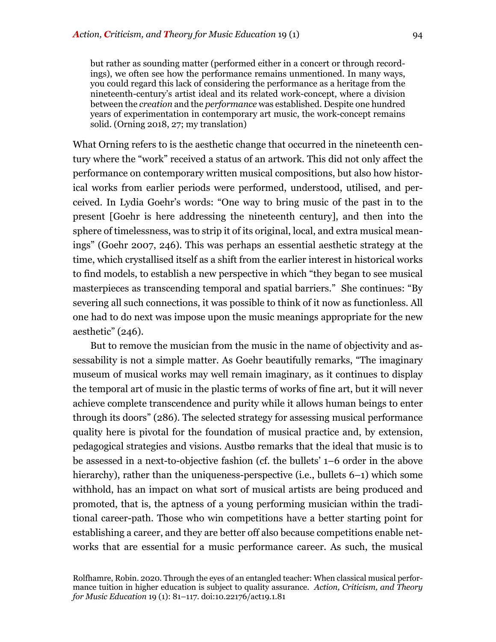but rather as sounding matter (performed either in a concert or through recordings), we often see how the performance remains unmentioned. In many ways, you could regard this lack of considering the performance as a heritage from the nineteenth-century's artist ideal and its related work-concept, where a division between the *creation* and the *performance* was established. Despite one hundred years of experimentation in contemporary art music, the work-concept remains solid. (Orning 2018, 27; my translation)

What Orning refers to is the aesthetic change that occurred in the nineteenth century where the "work" received a status of an artwork. This did not only affect the performance on contemporary written musical compositions, but also how historical works from earlier periods were performed, understood, utilised, and perceived. In Lydia Goehr's words: "One way to bring music of the past in to the present [Goehr is here addressing the nineteenth century], and then into the sphere of timelessness, was to strip it of its original, local, and extra musical meanings" (Goehr 2007, 246). This was perhaps an essential aesthetic strategy at the time, which crystallised itself as a shift from the earlier interest in historical works to find models, to establish a new perspective in which "they began to see musical masterpieces as transcending temporal and spatial barriers." She continues: "By severing all such connections, it was possible to think of it now as functionless. All one had to do next was impose upon the music meanings appropriate for the new aesthetic" (246).

But to remove the musician from the music in the name of objectivity and assessability is not a simple matter. As Goehr beautifully remarks, "The imaginary museum of musical works may well remain imaginary, as it continues to display the temporal art of music in the plastic terms of works of fine art, but it will never achieve complete transcendence and purity while it allows human beings to enter through its doors" (286). The selected strategy for assessing musical performance quality here is pivotal for the foundation of musical practice and, by extension, pedagogical strategies and visions. Austbø remarks that the ideal that music is to be assessed in a next-to-objective fashion (cf. the bullets' 1–6 order in the above hierarchy), rather than the uniqueness-perspective (i.e., bullets 6–1) which some withhold, has an impact on what sort of musical artists are being produced and promoted, that is, the aptness of a young performing musician within the traditional career-path. Those who win competitions have a better starting point for establishing a career, and they are better off also because competitions enable networks that are essential for a music performance career. As such, the musical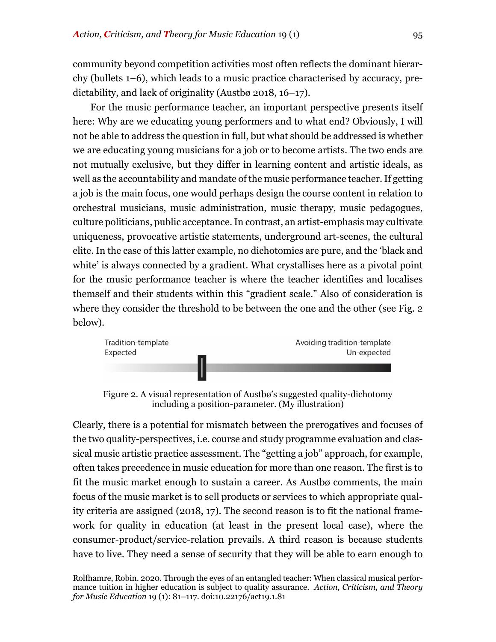community beyond competition activities most often reflects the dominant hierarchy (bullets 1–6), which leads to a music practice characterised by accuracy, predictability, and lack of originality (Austbø 2018, 16–17).

For the music performance teacher, an important perspective presents itself here: Why are we educating young performers and to what end? Obviously, I will not be able to address the question in full, but what should be addressed is whether we are educating young musicians for a job or to become artists. The two ends are not mutually exclusive, but they differ in learning content and artistic ideals, as well as the accountability and mandate of the music performance teacher. If getting a job is the main focus, one would perhaps design the course content in relation to orchestral musicians, music administration, music therapy, music pedagogues, culture politicians, public acceptance.In contrast, an artist-emphasis may cultivate uniqueness, provocative artistic statements, underground art-scenes, the cultural elite. In the case of this latter example, no dichotomies are pure, and the 'black and white' is always connected by a gradient. What crystallises here as a pivotal point for the music performance teacher is where the teacher identifies and localises themself and their students within this "gradient scale." Also of consideration is where they consider the threshold to be between the one and the other (see Fig. 2 below).



Figure 2. A visual representation of Austbø's suggested quality-dichotomy including a position-parameter. (My illustration)

Clearly, there is a potential for mismatch between the prerogatives and focuses of the two quality-perspectives, i.e. course and study programme evaluation and classical music artistic practice assessment. The "getting a job" approach, for example, often takes precedence in music education for more than one reason. The first is to fit the music market enough to sustain a career. As Austbø comments, the main focus of the music market is to sell products or services to which appropriate quality criteria are assigned (2018, 17). The second reason is to fit the national framework for quality in education (at least in the present local case), where the consumer-product/service-relation prevails. A third reason is because students have to live. They need a sense of security that they will be able to earn enough to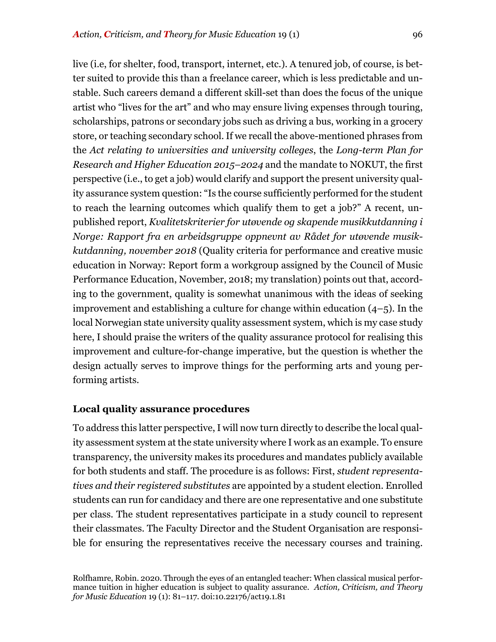live (i.e, for shelter, food, transport, internet, etc.). A tenured job, of course, is better suited to provide this than a freelance career, which is less predictable and unstable. Such careers demand a different skill-set than does the focus of the unique artist who "lives for the art" and who may ensure living expenses through touring, scholarships, patrons or secondary jobs such as driving a bus, working in a grocery store, or teaching secondary school. If we recall the above-mentioned phrases from the *Act relating to universities and university colleges*, the *Long-term Plan for Research and Higher Education 2015–2024* and the mandate to NOKUT, the first perspective (i.e., to get a job) would clarify and support the present university quality assurance system question: "Is the course sufficiently performed for the student to reach the learning outcomes which qualify them to get a job?" A recent, unpublished report, *Kvalitetskriterier for utøvende og skapende musikkutdanning i Norge: Rapport fra en arbeidsgruppe oppnevnt av Rådet for utøvende musikkutdanning, november 2018* (Quality criteria for performance and creative music education in Norway: Report form a workgroup assigned by the Council of Music Performance Education, November, 2018; my translation) points out that, according to the government, quality is somewhat unanimous with the ideas of seeking improvement and establishing a culture for change within education  $(4-5)$ . In the local Norwegian state university quality assessment system, which is my case study here, I should praise the writers of the quality assurance protocol for realising this improvement and culture-for-change imperative, but the question is whether the design actually serves to improve things for the performing arts and young performing artists.

# **Local quality assurance procedures**

To address this latter perspective, I will now turn directly to describe the local quality assessment system at the state university where I work as an example. To ensure transparency, the university makes its procedures and mandates publicly available for both students and staff. The procedure is as follows: First, *student representatives and their registered substitutes* are appointed by a student election. Enrolled students can run for candidacy and there are one representative and one substitute per class. The student representatives participate in a study council to represent their classmates. The Faculty Director and the Student Organisation are responsible for ensuring the representatives receive the necessary courses and training.

Rolfhamre, Robin. 2020. Through the eyes of an entangled teacher: When classical musical performance tuition in higher education is subject to quality assurance. *Action, Criticism, and Theory for Music Education* 19 (1): 81–117. doi:10.22176/act19.1.81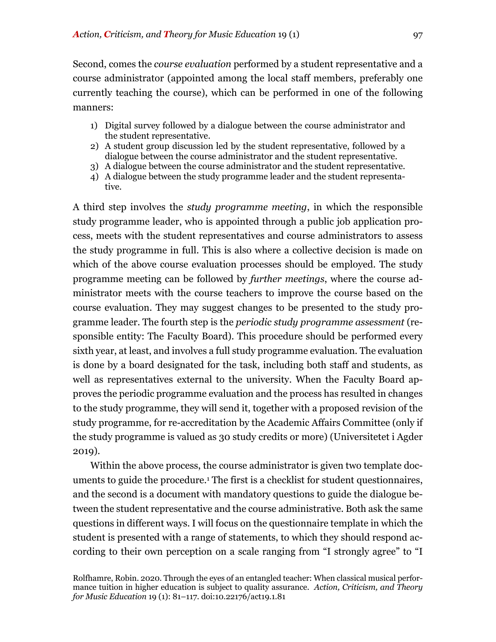Second, comes the *course evaluation* performed by a student representative and a course administrator (appointed among the local staff members, preferably one currently teaching the course), which can be performed in one of the following manners:

- 1) Digital survey followed by a dialogue between the course administrator and the student representative.
- 2) A student group discussion led by the student representative, followed by a dialogue between the course administrator and the student representative.
- 3) A dialogue between the course administrator and the student representative.
- 4) A dialogue between the study programme leader and the student representative.

A third step involves the *study programme meeting*, in which the responsible study programme leader, who is appointed through a public job application process, meets with the student representatives and course administrators to assess the study programme in full. This is also where a collective decision is made on which of the above course evaluation processes should be employed. The study programme meeting can be followed by *further meetings*, where the course administrator meets with the course teachers to improve the course based on the course evaluation. They may suggest changes to be presented to the study programme leader. The fourth step is the *periodic study programme assessment* (responsible entity: The Faculty Board). This procedure should be performed every sixth year, at least, and involves a full study programme evaluation. The evaluation is done by a board designated for the task, including both staff and students, as well as representatives external to the university. When the Faculty Board approves the periodic programme evaluation and the process has resulted in changes to the study programme, they will send it, together with a proposed revision of the study programme, for re-accreditation by the Academic Affairs Committee (only if the study programme is valued as 30 study credits or more) (Universitetet i Agder 2019).

Within the above process, the course administrator is given two template documents to guide the procedure.1 The first is a checklist for student questionnaires, and the second is a document with mandatory questions to guide the dialogue between the student representative and the course administrative. Both ask the same questions in different ways. I will focus on the questionnaire template in which the student is presented with a range of statements, to which they should respond according to their own perception on a scale ranging from "I strongly agree" to "I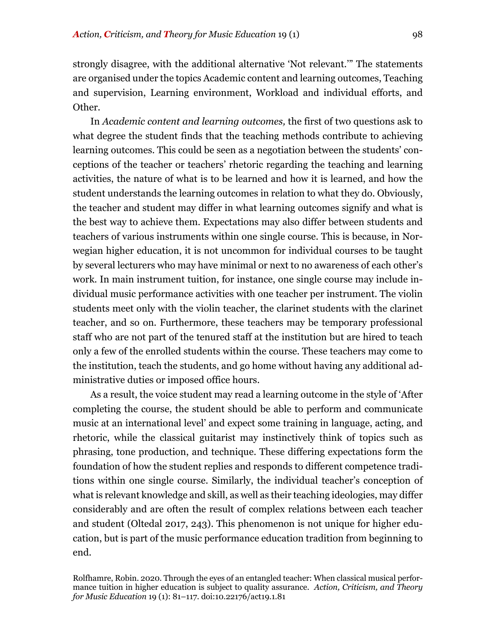strongly disagree, with the additional alternative 'Not relevant.'" The statements are organised under the topics Academic content and learning outcomes, Teaching and supervision, Learning environment, Workload and individual efforts, and Other.

In *Academic content and learning outcomes,* the first of two questions ask to what degree the student finds that the teaching methods contribute to achieving learning outcomes. This could be seen as a negotiation between the students' conceptions of the teacher or teachers' rhetoric regarding the teaching and learning activities, the nature of what is to be learned and how it is learned, and how the student understands the learning outcomes in relation to what they do. Obviously, the teacher and student may differ in what learning outcomes signify and what is the best way to achieve them. Expectations may also differ between students and teachers of various instruments within one single course. This is because, in Norwegian higher education, it is not uncommon for individual courses to be taught by several lecturers who may have minimal or next to no awareness of each other's work. In main instrument tuition, for instance, one single course may include individual music performance activities with one teacher per instrument. The violin students meet only with the violin teacher, the clarinet students with the clarinet teacher, and so on. Furthermore, these teachers may be temporary professional staff who are not part of the tenured staff at the institution but are hired to teach only a few of the enrolled students within the course. These teachers may come to the institution, teach the students, and go home without having any additional administrative duties or imposed office hours.

As a result, the voice student may read a learning outcome in the style of 'After completing the course, the student should be able to perform and communicate music at an international level' and expect some training in language, acting, and rhetoric, while the classical guitarist may instinctively think of topics such as phrasing, tone production, and technique. These differing expectations form the foundation of how the student replies and responds to different competence traditions within one single course. Similarly, the individual teacher's conception of what is relevant knowledge and skill, as well as their teaching ideologies, may differ considerably and are often the result of complex relations between each teacher and student (Oltedal 2017, 243). This phenomenon is not unique for higher education, but is part of the music performance education tradition from beginning to end.

Rolfhamre, Robin. 2020. Through the eyes of an entangled teacher: When classical musical performance tuition in higher education is subject to quality assurance. *Action, Criticism, and Theory for Music Education* 19 (1): 81–117. doi:10.22176/act19.1.81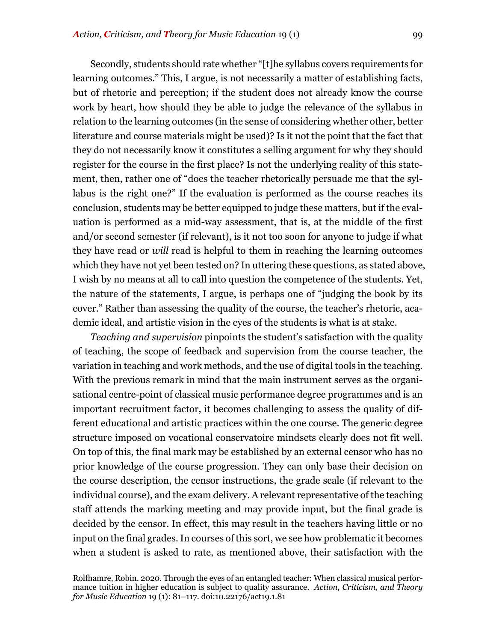Secondly, students should rate whether "[t]he syllabus covers requirements for learning outcomes." This, I argue, is not necessarily a matter of establishing facts, but of rhetoric and perception; if the student does not already know the course work by heart, how should they be able to judge the relevance of the syllabus in relation to the learning outcomes (in the sense of considering whether other, better literature and course materials might be used)? Is it not the point that the fact that they do not necessarily know it constitutes a selling argument for why they should register for the course in the first place? Is not the underlying reality of this statement, then, rather one of "does the teacher rhetorically persuade me that the syllabus is the right one?" If the evaluation is performed as the course reaches its conclusion, students may be better equipped to judge these matters, but if the evaluation is performed as a mid-way assessment, that is, at the middle of the first and/or second semester (if relevant), is it not too soon for anyone to judge if what they have read or *will* read is helpful to them in reaching the learning outcomes which they have not yet been tested on? In uttering these questions, as stated above, I wish by no means at all to call into question the competence of the students. Yet, the nature of the statements, I argue, is perhaps one of "judging the book by its cover." Rather than assessing the quality of the course, the teacher's rhetoric, academic ideal, and artistic vision in the eyes of the students is what is at stake.

*Teaching and supervision* pinpoints the student's satisfaction with the quality of teaching, the scope of feedback and supervision from the course teacher, the variation in teaching and work methods, and the use of digital tools in the teaching. With the previous remark in mind that the main instrument serves as the organisational centre-point of classical music performance degree programmes and is an important recruitment factor, it becomes challenging to assess the quality of different educational and artistic practices within the one course. The generic degree structure imposed on vocational conservatoire mindsets clearly does not fit well. On top of this, the final mark may be established by an external censor who has no prior knowledge of the course progression. They can only base their decision on the course description, the censor instructions, the grade scale (if relevant to the individual course), and the exam delivery. A relevant representative of the teaching staff attends the marking meeting and may provide input, but the final grade is decided by the censor. In effect, this may result in the teachers having little or no input on the final grades. In courses of this sort, we see how problematic it becomes when a student is asked to rate, as mentioned above, their satisfaction with the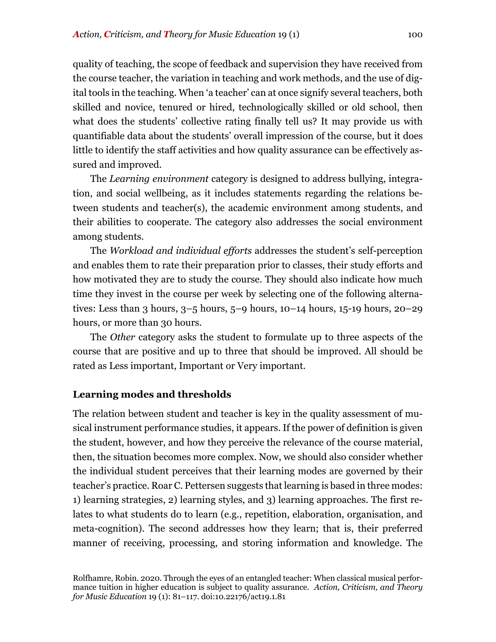quality of teaching, the scope of feedback and supervision they have received from the course teacher, the variation in teaching and work methods, and the use of digital tools in the teaching. When 'a teacher' can at once signify several teachers, both skilled and novice, tenured or hired, technologically skilled or old school, then what does the students' collective rating finally tell us? It may provide us with quantifiable data about the students' overall impression of the course, but it does little to identify the staff activities and how quality assurance can be effectively assured and improved.

The *Learning environment* category is designed to address bullying, integration, and social wellbeing, as it includes statements regarding the relations between students and teacher(s), the academic environment among students, and their abilities to cooperate. The category also addresses the social environment among students.

The *Workload and individual efforts* addresses the student's self-perception and enables them to rate their preparation prior to classes, their study efforts and how motivated they are to study the course. They should also indicate how much time they invest in the course per week by selecting one of the following alternatives: Less than 3 hours, 3–5 hours, 5–9 hours, 10–14 hours, 15-19 hours, 20–29 hours, or more than 30 hours.

The *Other* category asks the student to formulate up to three aspects of the course that are positive and up to three that should be improved. All should be rated as Less important, Important or Very important.

## **Learning modes and thresholds**

The relation between student and teacher is key in the quality assessment of musical instrument performance studies, it appears. If the power of definition is given the student, however, and how they perceive the relevance of the course material, then, the situation becomes more complex. Now, we should also consider whether the individual student perceives that their learning modes are governed by their teacher's practice. Roar C. Pettersen suggests that learning is based in three modes: 1) learning strategies, 2) learning styles, and 3) learning approaches. The first relates to what students do to learn (e.g., repetition, elaboration, organisation, and meta-cognition). The second addresses how they learn; that is, their preferred manner of receiving, processing, and storing information and knowledge. The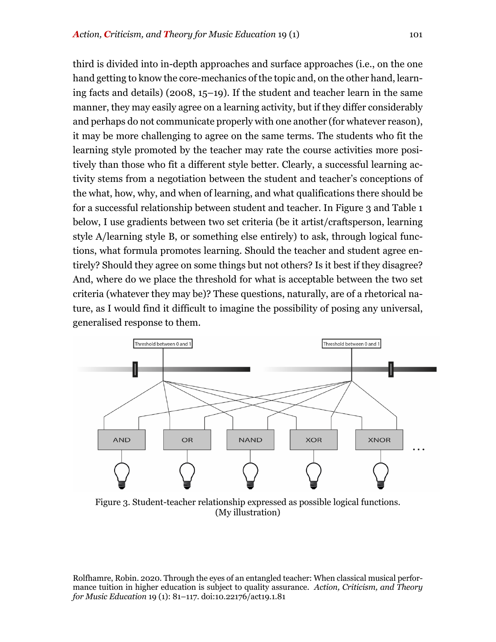third is divided into in-depth approaches and surface approaches (i.e., on the one hand getting to know the core-mechanics of the topic and, on the other hand, learning facts and details) (2008, 15–19). If the student and teacher learn in the same manner, they may easily agree on a learning activity, but if they differ considerably and perhaps do not communicate properly with one another (for whatever reason), it may be more challenging to agree on the same terms. The students who fit the learning style promoted by the teacher may rate the course activities more positively than those who fit a different style better. Clearly, a successful learning activity stems from a negotiation between the student and teacher's conceptions of the what, how, why, and when of learning, and what qualifications there should be for a successful relationship between student and teacher. In Figure 3 and Table 1 below, I use gradients between two set criteria (be it artist/craftsperson, learning style A/learning style B, or something else entirely) to ask, through logical functions, what formula promotes learning. Should the teacher and student agree entirely? Should they agree on some things but not others? Is it best if they disagree? And, where do we place the threshold for what is acceptable between the two set criteria (whatever they may be)? These questions, naturally, are of a rhetorical nature, as I would find it difficult to imagine the possibility of posing any universal, generalised response to them.



Figure 3. Student-teacher relationship expressed as possible logical functions. (My illustration)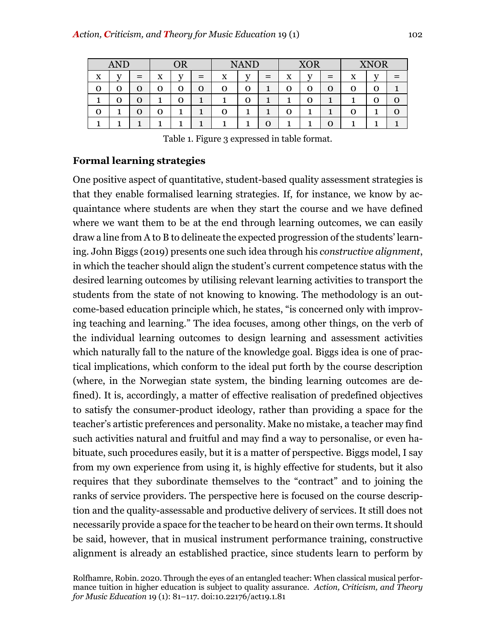| <b>AND</b> |     |     | $\overline{OR}$ |     |     | <b>NAND</b> |              |        | <b>XOR</b> |                |                               | <b>XNOR</b> |  |  |
|------------|-----|-----|-----------------|-----|-----|-------------|--------------|--------|------------|----------------|-------------------------------|-------------|--|--|
| X          | T T | $=$ | x               | T.7 | $=$ | x           | $\mathbf{v}$ | –<br>- | X          | T <sub>7</sub> | -<br>$\overline{\phantom{0}}$ | X           |  |  |
| O          |     | O   |                 | 0   | O   | 0           | O            |        | 0          | О              |                               |             |  |  |
|            |     | O   |                 | J   |     |             | O            |        |            | Ο              |                               |             |  |  |
| Ο          |     | O   |                 |     |     |             |              |        |            |                |                               |             |  |  |
|            |     |     |                 |     |     |             |              |        |            |                |                               |             |  |  |

Table 1. Figure 3 expressed in table format.

# **Formal learning strategies**

One positive aspect of quantitative, student-based quality assessment strategies is that they enable formalised learning strategies. If, for instance, we know by acquaintance where students are when they start the course and we have defined where we want them to be at the end through learning outcomes, we can easily draw a line from A to B to delineate the expected progression of the students' learning. John Biggs (2019) presents one such idea through his *constructive alignment*, in which the teacher should align the student's current competence status with the desired learning outcomes by utilising relevant learning activities to transport the students from the state of not knowing to knowing. The methodology is an outcome-based education principle which, he states, "is concerned only with improving teaching and learning." The idea focuses, among other things, on the verb of the individual learning outcomes to design learning and assessment activities which naturally fall to the nature of the knowledge goal. Biggs idea is one of practical implications, which conform to the ideal put forth by the course description (where, in the Norwegian state system, the binding learning outcomes are defined). It is, accordingly, a matter of effective realisation of predefined objectives to satisfy the consumer-product ideology, rather than providing a space for the teacher's artistic preferences and personality. Make no mistake, a teacher may find such activities natural and fruitful and may find a way to personalise, or even habituate, such procedures easily, but it is a matter of perspective. Biggs model, I say from my own experience from using it, is highly effective for students, but it also requires that they subordinate themselves to the "contract" and to joining the ranks of service providers. The perspective here is focused on the course description and the quality-assessable and productive delivery of services. It still does not necessarily provide a space for the teacher to be heard on their own terms. It should be said, however, that in musical instrument performance training, constructive alignment is already an established practice, since students learn to perform by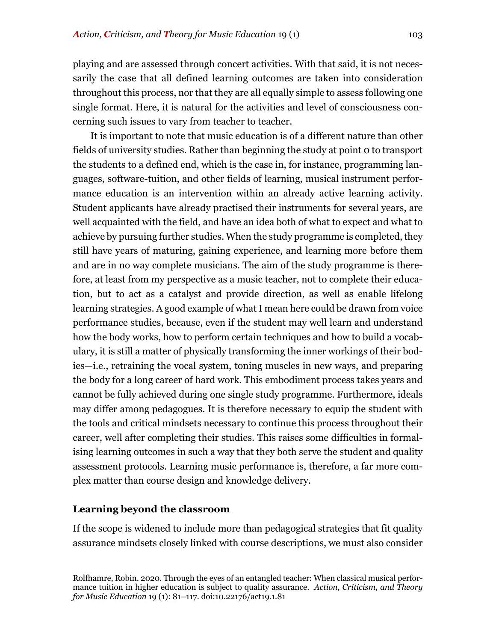playing and are assessed through concert activities. With that said, it is not necessarily the case that all defined learning outcomes are taken into consideration throughout this process, nor that they are all equally simple to assess following one single format. Here, it is natural for the activities and level of consciousness concerning such issues to vary from teacher to teacher.

It is important to note that music education is of a different nature than other fields of university studies. Rather than beginning the study at point 0 to transport the students to a defined end, which is the case in, for instance, programming languages, software-tuition, and other fields of learning, musical instrument performance education is an intervention within an already active learning activity. Student applicants have already practised their instruments for several years, are well acquainted with the field, and have an idea both of what to expect and what to achieve by pursuing further studies. When the study programme is completed, they still have years of maturing, gaining experience, and learning more before them and are in no way complete musicians. The aim of the study programme is therefore, at least from my perspective as a music teacher, not to complete their education, but to act as a catalyst and provide direction, as well as enable lifelong learning strategies. A good example of what I mean here could be drawn from voice performance studies, because, even if the student may well learn and understand how the body works, how to perform certain techniques and how to build a vocabulary, it is still a matter of physically transforming the inner workings of their bodies—i.e., retraining the vocal system, toning muscles in new ways, and preparing the body for a long career of hard work. This embodiment process takes years and cannot be fully achieved during one single study programme. Furthermore, ideals may differ among pedagogues. It is therefore necessary to equip the student with the tools and critical mindsets necessary to continue this process throughout their career, well after completing their studies. This raises some difficulties in formalising learning outcomes in such a way that they both serve the student and quality assessment protocols. Learning music performance is, therefore, a far more complex matter than course design and knowledge delivery.

# **Learning beyond the classroom**

If the scope is widened to include more than pedagogical strategies that fit quality assurance mindsets closely linked with course descriptions, we must also consider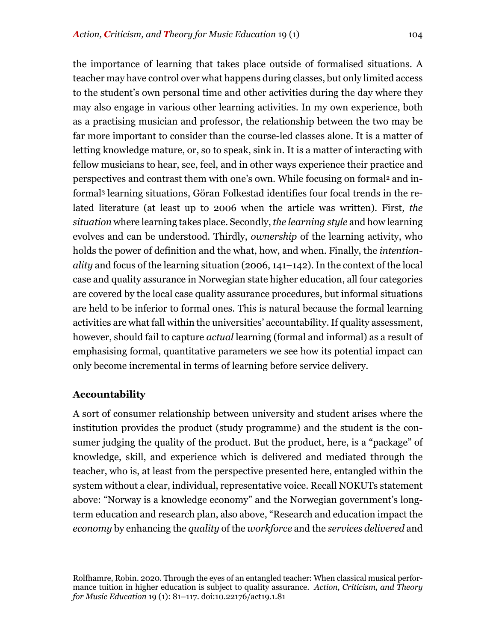the importance of learning that takes place outside of formalised situations. A teacher may have control over what happens during classes, but only limited access to the student's own personal time and other activities during the day where they may also engage in various other learning activities. In my own experience, both as a practising musician and professor, the relationship between the two may be far more important to consider than the course-led classes alone. It is a matter of

letting knowledge mature, or, so to speak, sink in. It is a matter of interacting with fellow musicians to hear, see, feel, and in other ways experience their practice and perspectives and contrast them with one's own. While focusing on formal<sup>2</sup> and informal3 learning situations, Göran Folkestad identifies four focal trends in the related literature (at least up to 2006 when the article was written). First, *the situation* where learning takes place. Secondly, *the learning style* and how learning evolves and can be understood. Thirdly, *ownership* of the learning activity, who holds the power of definition and the what, how, and when. Finally, the *intentionality* and focus of the learning situation (2006, 141–142). In the context of the local case and quality assurance in Norwegian state higher education, all four categories are covered by the local case quality assurance procedures, but informal situations are held to be inferior to formal ones. This is natural because the formal learning activities are what fall within the universities' accountability.If quality assessment, however, should fail to capture *actual* learning (formal and informal) as a result of emphasising formal, quantitative parameters we see how its potential impact can only become incremental in terms of learning before service delivery.

# **Accountability**

A sort of consumer relationship between university and student arises where the institution provides the product (study programme) and the student is the consumer judging the quality of the product. But the product, here, is a "package" of knowledge, skill, and experience which is delivered and mediated through the teacher, who is, at least from the perspective presented here, entangled within the system without a clear, individual, representative voice. Recall NOKUTs statement above: "Norway is a knowledge economy" and the Norwegian government's longterm education and research plan, also above, "Research and education impact the *economy* by enhancing the *quality* of the *workforce* and the *services delivered* and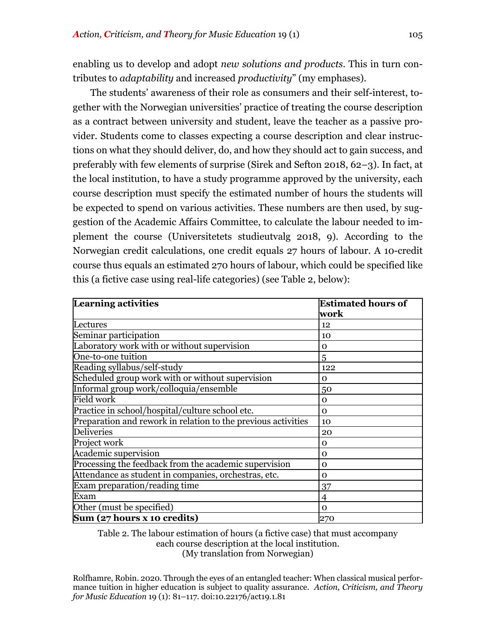enabling us to develop and adopt *new solutions and products*. This in turn contributes to *adaptability* and increased *productivity*" (my emphases).

The students' awareness of their role as consumers and their self-interest, together with the Norwegian universities' practice of treating the course description as a contract between university and student, leave the teacher as a passive provider. Students come to classes expecting a course description and clear instructions on what they should deliver, do, and how they should act to gain success, and preferably with few elements of surprise (Sirek and Sefton 2018, 62–3). In fact, at the local institution, to have a study programme approved by the university, each course description must specify the estimated number of hours the students will be expected to spend on various activities. These numbers are then used, by suggestion of the Academic Affairs Committee, to calculate the labour needed to implement the course (Universitetets studieutvalg 2018, 9). According to the Norwegian credit calculations, one credit equals 27 hours of labour. A 10-credit course thus equals an estimated 270 hours of labour, which could be specified like this (a fictive case using real-life categories) (see Table 2, below):

| <b>Learning activities</b>                                    | <b>Estimated hours of</b> |  |  |  |
|---------------------------------------------------------------|---------------------------|--|--|--|
|                                                               | work                      |  |  |  |
| Lectures                                                      | 12                        |  |  |  |
| Seminar participation                                         | 10                        |  |  |  |
| Laboratory work with or without supervision                   | $\mathbf 0$               |  |  |  |
| One-to-one tuition                                            | 5                         |  |  |  |
| Reading syllabus/self-study                                   | 122                       |  |  |  |
| Scheduled group work with or without supervision              | 0                         |  |  |  |
| Informal group work/colloquia/ensemble                        | 50                        |  |  |  |
| <b>Field work</b>                                             | 0                         |  |  |  |
| Practice in school/hospital/culture school etc.               | $\Omega$                  |  |  |  |
| Preparation and rework in relation to the previous activities | 10                        |  |  |  |
| <b>Deliveries</b>                                             | 20                        |  |  |  |
| Project work                                                  | 0                         |  |  |  |
| Academic supervision                                          | $\mathbf 0$               |  |  |  |
| Processing the feedback from the academic supervision         | 0                         |  |  |  |
| Attendance as student in companies, orchestras, etc.          | 0                         |  |  |  |
| Exam preparation/reading time                                 | 37                        |  |  |  |
| Exam                                                          | 4                         |  |  |  |
| Other (must be specified)                                     | 0                         |  |  |  |
| Sum (27 hours x 10 credits)                                   | 270                       |  |  |  |

Table 2. The labour estimation of hours (a fictive case) that must accompany each course description at the local institution. (My translation from Norwegian)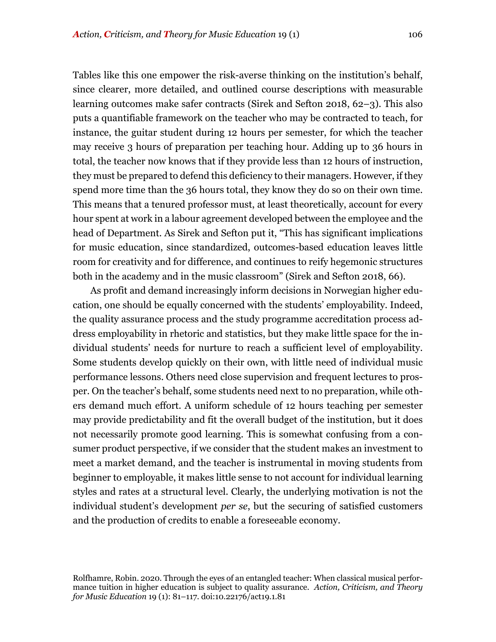Tables like this one empower the risk-averse thinking on the institution's behalf, since clearer, more detailed, and outlined course descriptions with measurable learning outcomes make safer contracts (Sirek and Sefton 2018, 62–3). This also puts a quantifiable framework on the teacher who may be contracted to teach, for instance, the guitar student during 12 hours per semester, for which the teacher may receive 3 hours of preparation per teaching hour. Adding up to 36 hours in total, the teacher now knows that if they provide less than 12 hours of instruction, they must be prepared to defend this deficiency to their managers. However, if they spend more time than the 36 hours total, they know they do so on their own time. This means that a tenured professor must, at least theoretically, account for every hour spent at work in a labour agreement developed between the employee and the head of Department. As Sirek and Sefton put it, "This has significant implications for music education, since standardized, outcomes-based education leaves little room for creativity and for difference, and continues to reify hegemonic structures both in the academy and in the music classroom" (Sirek and Sefton 2018, 66).

As profit and demand increasingly inform decisions in Norwegian higher education, one should be equally concerned with the students' employability. Indeed, the quality assurance process and the study programme accreditation process address employability in rhetoric and statistics, but they make little space for the individual students' needs for nurture to reach a sufficient level of employability. Some students develop quickly on their own, with little need of individual music performance lessons. Others need close supervision and frequent lectures to prosper. On the teacher's behalf, some students need next to no preparation, while others demand much effort. A uniform schedule of 12 hours teaching per semester may provide predictability and fit the overall budget of the institution, but it does not necessarily promote good learning. This is somewhat confusing from a consumer product perspective, if we consider that the student makes an investment to meet a market demand, and the teacher is instrumental in moving students from beginner to employable, it makes little sense to not account for individual learning styles and rates at a structural level. Clearly, the underlying motivation is not the individual student's development *per se*, but the securing of satisfied customers and the production of credits to enable a foreseeable economy.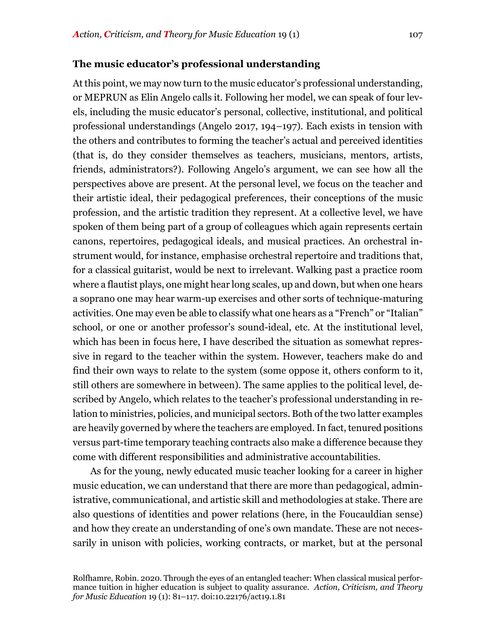At this point, we may now turn to the music educator's professional understanding, or MEPRUN as Elin Angelo calls it. Following her model, we can speak of four levels, including the music educator's personal, collective, institutional, and political professional understandings (Angelo 2017, 194–197). Each exists in tension with the others and contributes to forming the teacher's actual and perceived identities (that is, do they consider themselves as teachers, musicians, mentors, artists, friends, administrators?). Following Angelo's argument, we can see how all the perspectives above are present. At the personal level, we focus on the teacher and their artistic ideal, their pedagogical preferences, their conceptions of the music profession, and the artistic tradition they represent. At a collective level, we have spoken of them being part of a group of colleagues which again represents certain canons, repertoires, pedagogical ideals, and musical practices. An orchestral instrument would, for instance, emphasise orchestral repertoire and traditions that, for a classical guitarist, would be next to irrelevant. Walking past a practice room where a flautist plays, one might hear long scales, up and down, but when one hears a soprano one may hear warm-up exercises and other sorts of technique-maturing activities. One may even be able to classify what one hears as a "French" or "Italian" school, or one or another professor's sound-ideal, etc. At the institutional level, which has been in focus here, I have described the situation as somewhat repressive in regard to the teacher within the system. However, teachers make do and find their own ways to relate to the system (some oppose it, others conform to it, still others are somewhere in between). The same applies to the political level, described by Angelo, which relates to the teacher's professional understanding in relation to ministries, policies, and municipal sectors. Both of the two latter examples are heavily governed by where the teachers are employed. In fact, tenured positions versus part-time temporary teaching contracts also make a difference because they come with different responsibilities and administrative accountabilities.

As for the young, newly educated music teacher looking for a career in higher music education, we can understand that there are more than pedagogical, administrative, communicational, and artistic skill and methodologies at stake. There are also questions of identities and power relations (here, in the Foucauldian sense) and how they create an understanding of one's own mandate. These are not necessarily in unison with policies, working contracts, or market, but at the personal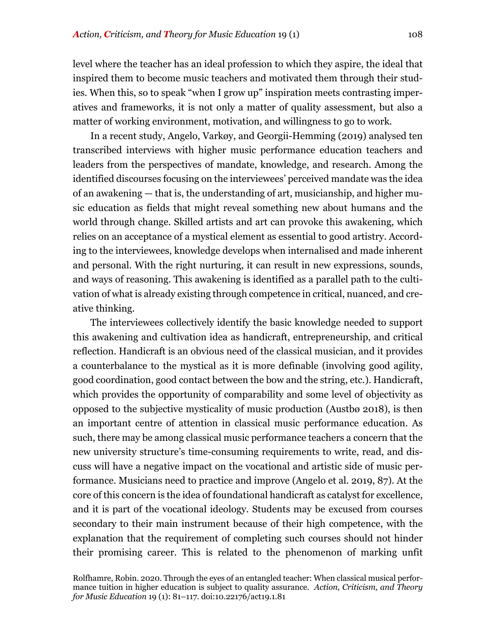level where the teacher has an ideal profession to which they aspire, the ideal that inspired them to become music teachers and motivated them through their studies. When this, so to speak "when I grow up" inspiration meets contrasting imperatives and frameworks, it is not only a matter of quality assessment, but also a matter of working environment, motivation, and willingness to go to work.

In a recent study, Angelo, Varkøy, and Georgii-Hemming (2019) analysed ten transcribed interviews with higher music performance education teachers and leaders from the perspectives of mandate, knowledge, and research. Among the identified discourses focusing on the interviewees' perceived mandate was the idea of an awakening — that is, the understanding of art, musicianship, and higher music education as fields that might reveal something new about humans and the world through change. Skilled artists and art can provoke this awakening, which relies on an acceptance of a mystical element as essential to good artistry. According to the interviewees, knowledge develops when internalised and made inherent and personal. With the right nurturing, it can result in new expressions, sounds, and ways of reasoning. This awakening is identified as a parallel path to the cultivation of what is already existing through competence in critical, nuanced, and creative thinking.

The interviewees collectively identify the basic knowledge needed to support this awakening and cultivation idea as handicraft, entrepreneurship, and critical reflection. Handicraft is an obvious need of the classical musician, and it provides a counterbalance to the mystical as it is more definable (involving good agility, good coordination, good contact between the bow and the string, etc.). Handicraft, which provides the opportunity of comparability and some level of objectivity as opposed to the subjective mysticality of music production (Austbø 2018), is then an important centre of attention in classical music performance education. As such, there may be among classical music performance teachers a concern that the new university structure's time-consuming requirements to write, read, and discuss will have a negative impact on the vocational and artistic side of music performance. Musicians need to practice and improve (Angelo et al. 2019, 87). At the core of this concern is the idea of foundational handicraft as catalyst for excellence, and it is part of the vocational ideology. Students may be excused from courses secondary to their main instrument because of their high competence, with the explanation that the requirement of completing such courses should not hinder their promising career. This is related to the phenomenon of marking unfit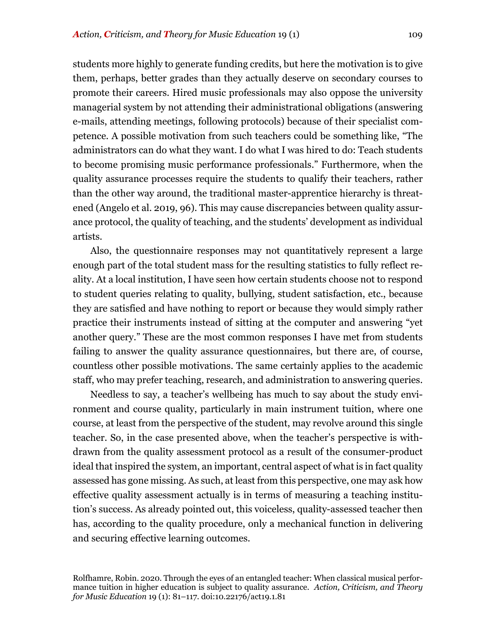students more highly to generate funding credits, but here the motivation is to give them, perhaps, better grades than they actually deserve on secondary courses to promote their careers. Hired music professionals may also oppose the university managerial system by not attending their administrational obligations (answering e-mails, attending meetings, following protocols) because of their specialist competence. A possible motivation from such teachers could be something like, "The administrators can do what they want. I do what I was hired to do: Teach students to become promising music performance professionals." Furthermore, when the quality assurance processes require the students to qualify their teachers, rather than the other way around, the traditional master-apprentice hierarchy is threatened (Angelo et al. 2019, 96). This may cause discrepancies between quality assurance protocol, the quality of teaching, and the students' development as individual artists.

Also, the questionnaire responses may not quantitatively represent a large enough part of the total student mass for the resulting statistics to fully reflect reality. At a local institution, I have seen how certain students choose not to respond to student queries relating to quality, bullying, student satisfaction, etc., because they are satisfied and have nothing to report or because they would simply rather practice their instruments instead of sitting at the computer and answering "yet another query." These are the most common responses I have met from students failing to answer the quality assurance questionnaires, but there are, of course, countless other possible motivations. The same certainly applies to the academic staff, who may prefer teaching, research, and administration to answering queries.

Needless to say, a teacher's wellbeing has much to say about the study environment and course quality, particularly in main instrument tuition, where one course, at least from the perspective of the student, may revolve around this single teacher. So, in the case presented above, when the teacher's perspective is withdrawn from the quality assessment protocol as a result of the consumer-product ideal that inspired the system, an important, central aspect of what is in fact quality assessed has gone missing. As such, at least from this perspective, one may ask how effective quality assessment actually is in terms of measuring a teaching institution's success. As already pointed out, this voiceless, quality-assessed teacher then has, according to the quality procedure, only a mechanical function in delivering and securing effective learning outcomes.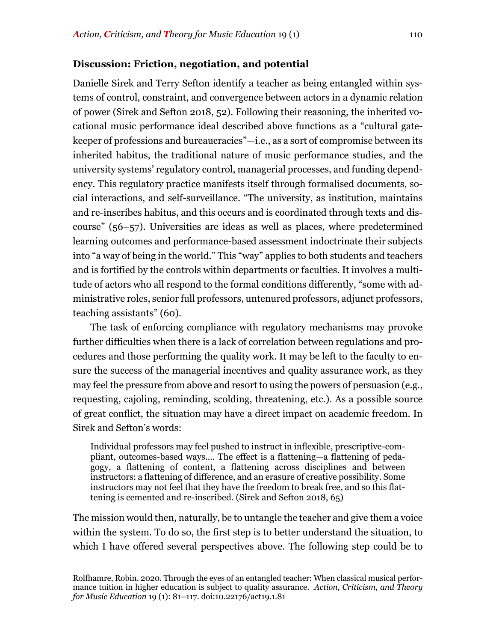#### **Discussion: Friction, negotiation, and potential**

Danielle Sirek and Terry Sefton identify a teacher as being entangled within systems of control, constraint, and convergence between actors in a dynamic relation of power (Sirek and Sefton 2018, 52). Following their reasoning, the inherited vocational music performance ideal described above functions as a "cultural gatekeeper of professions and bureaucracies"—i.e., as a sort of compromise between its inherited habitus, the traditional nature of music performance studies, and the university systems' regulatory control, managerial processes, and funding dependency. This regulatory practice manifests itself through formalised documents, social interactions, and self-surveillance. "The university, as institution, maintains and re-inscribes habitus, and this occurs and is coordinated through texts and discourse" (56–57). Universities are ideas as well as places, where predetermined learning outcomes and performance-based assessment indoctrinate their subjects into "a way of being in the world." This "way" applies to both students and teachers and is fortified by the controls within departments or faculties. It involves a multitude of actors who all respond to the formal conditions differently, "some with administrative roles, senior full professors, untenured professors, adjunct professors, teaching assistants" (60).

The task of enforcing compliance with regulatory mechanisms may provoke further difficulties when there is a lack of correlation between regulations and procedures and those performing the quality work. It may be left to the faculty to ensure the success of the managerial incentives and quality assurance work, as they may feel the pressure from above and resort to using the powers of persuasion (e.g., requesting, cajoling, reminding, scolding, threatening, etc.). As a possible source of great conflict, the situation may have a direct impact on academic freedom. In Sirek and Sefton's words:

Individual professors may feel pushed to instruct in inflexible, prescriptive-compliant, outcomes-based ways.… The effect is a flattening—a flattening of pedagogy, a flattening of content, a flattening across disciplines and between instructors: a flattening of difference, and an erasure of creative possibility. Some instructors may not feel that they have the freedom to break free, and so this flattening is cemented and re-inscribed. (Sirek and Sefton 2018, 65)

The mission would then, naturally, be to untangle the teacher and give them a voice within the system. To do so, the first step is to better understand the situation, to which I have offered several perspectives above. The following step could be to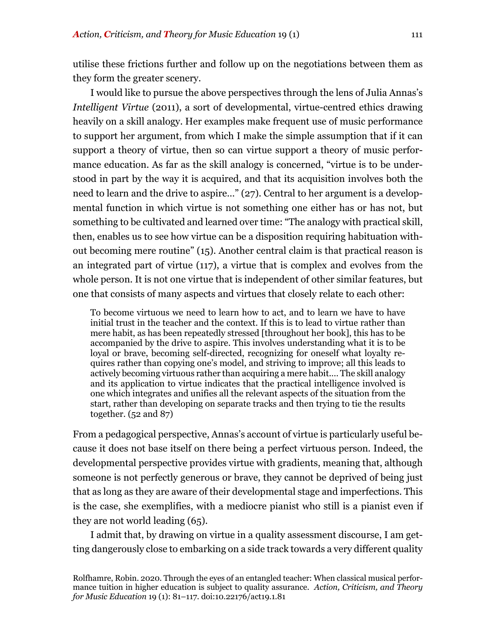utilise these frictions further and follow up on the negotiations between them as they form the greater scenery.

I would like to pursue the above perspectives through the lens of Julia Annas's *Intelligent Virtue* (2011), a sort of developmental, virtue-centred ethics drawing heavily on a skill analogy. Her examples make frequent use of music performance to support her argument, from which I make the simple assumption that if it can support a theory of virtue, then so can virtue support a theory of music performance education. As far as the skill analogy is concerned, "virtue is to be understood in part by the way it is acquired, and that its acquisition involves both the need to learn and the drive to aspire…" (27). Central to her argument is a developmental function in which virtue is not something one either has or has not, but something to be cultivated and learned over time: "The analogy with practical skill, then, enables us to see how virtue can be a disposition requiring habituation without becoming mere routine" (15). Another central claim is that practical reason is an integrated part of virtue (117), a virtue that is complex and evolves from the whole person. It is not one virtue that is independent of other similar features, but one that consists of many aspects and virtues that closely relate to each other:

To become virtuous we need to learn how to act, and to learn we have to have initial trust in the teacher and the context. If this is to lead to virtue rather than mere habit, as has been repeatedly stressed [throughout her book], this has to be accompanied by the drive to aspire. This involves understanding what it is to be loyal or brave, becoming self-directed, recognizing for oneself what loyalty requires rather than copying one's model, and striving to improve; all this leads to actively becoming virtuous rather than acquiring a mere habit.… The skill analogy and its application to virtue indicates that the practical intelligence involved is one which integrates and unifies all the relevant aspects of the situation from the start, rather than developing on separate tracks and then trying to tie the results together. (52 and 87)

From a pedagogical perspective, Annas's account of virtue is particularly useful because it does not base itself on there being a perfect virtuous person. Indeed, the developmental perspective provides virtue with gradients, meaning that, although someone is not perfectly generous or brave, they cannot be deprived of being just that as long as they are aware of their developmental stage and imperfections. This is the case, she exemplifies, with a mediocre pianist who still is a pianist even if they are not world leading (65).

I admit that, by drawing on virtue in a quality assessment discourse, I am getting dangerously close to embarking on a side track towards a very different quality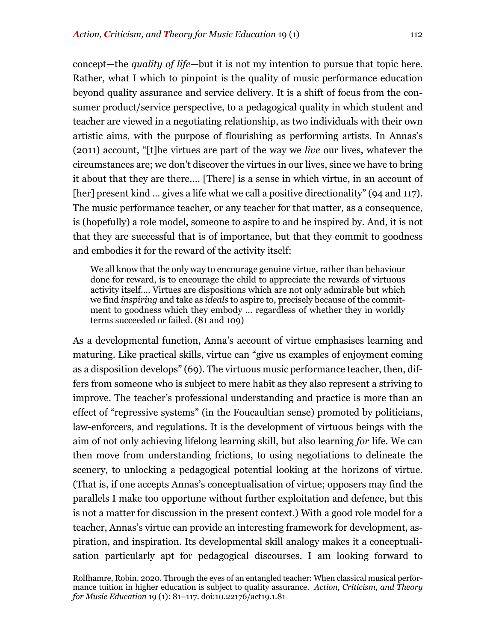concept—the *quality of life*—but it is not my intention to pursue that topic here. Rather, what I which to pinpoint is the quality of music performance education beyond quality assurance and service delivery. It is a shift of focus from the consumer product/service perspective, to a pedagogical quality in which student and teacher are viewed in a negotiating relationship, as two individuals with their own artistic aims, with the purpose of flourishing as performing artists. In Annas's (2011) account, "[t]he virtues are part of the way we *live* our lives, whatever the circumstances are; we don't discover the virtues in our lives, since we have to bring it about that they are there.… [There] is a sense in which virtue, in an account of [her] present kind … gives a life what we call a positive directionality" (94 and 117). The music performance teacher, or any teacher for that matter, as a consequence, is (hopefully) a role model, someone to aspire to and be inspired by. And, it is not that they are successful that is of importance, but that they commit to goodness and embodies it for the reward of the activity itself:

We all know that the only way to encourage genuine virtue, rather than behaviour done for reward, is to encourage the child to appreciate the rewards of virtuous activity itself.… Virtues are dispositions which are not only admirable but which we find *inspiring* and take as *ideals* to aspire to, precisely because of the commitment to goodness which they embody … regardless of whether they in worldly terms succeeded or failed. (81 and 109)

As a developmental function, Anna's account of virtue emphasises learning and maturing. Like practical skills, virtue can "give us examples of enjoyment coming as a disposition develops" (69). The virtuous music performance teacher, then, differs from someone who is subject to mere habit as they also represent a striving to improve. The teacher's professional understanding and practice is more than an effect of "repressive systems" (in the Foucaultian sense) promoted by politicians, law-enforcers, and regulations. It is the development of virtuous beings with the aim of not only achieving lifelong learning skill, but also learning *for* life. We can then move from understanding frictions, to using negotiations to delineate the scenery, to unlocking a pedagogical potential looking at the horizons of virtue. (That is, if one accepts Annas's conceptualisation of virtue; opposers may find the parallels I make too opportune without further exploitation and defence, but this is not a matter for discussion in the present context.) With a good role model for a teacher, Annas's virtue can provide an interesting framework for development, aspiration, and inspiration. Its developmental skill analogy makes it a conceptualisation particularly apt for pedagogical discourses. I am looking forward to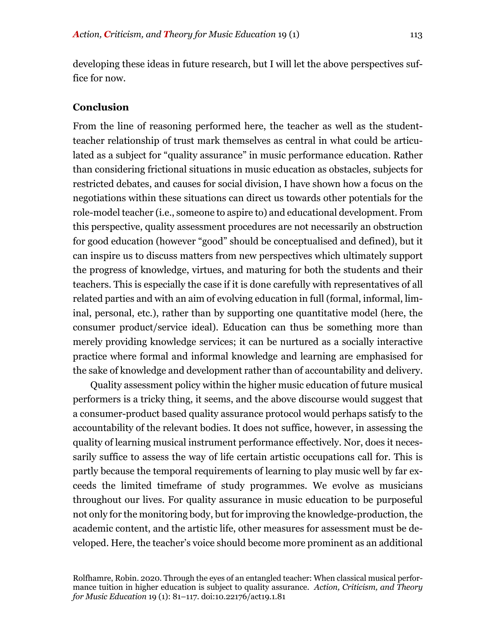developing these ideas in future research, but I will let the above perspectives suffice for now.

#### **Conclusion**

From the line of reasoning performed here, the teacher as well as the studentteacher relationship of trust mark themselves as central in what could be articulated as a subject for "quality assurance" in music performance education. Rather than considering frictional situations in music education as obstacles, subjects for restricted debates, and causes for social division, I have shown how a focus on the negotiations within these situations can direct us towards other potentials for the role-model teacher (i.e., someone to aspire to) and educational development. From this perspective, quality assessment procedures are not necessarily an obstruction for good education (however "good" should be conceptualised and defined), but it can inspire us to discuss matters from new perspectives which ultimately support the progress of knowledge, virtues, and maturing for both the students and their teachers. This is especially the case if it is done carefully with representatives of all related parties and with an aim of evolving education in full (formal, informal, liminal, personal, etc.), rather than by supporting one quantitative model (here, the consumer product/service ideal). Education can thus be something more than merely providing knowledge services; it can be nurtured as a socially interactive practice where formal and informal knowledge and learning are emphasised for the sake of knowledge and development rather than of accountability and delivery.

Quality assessment policy within the higher music education of future musical performers is a tricky thing, it seems, and the above discourse would suggest that a consumer-product based quality assurance protocol would perhaps satisfy to the accountability of the relevant bodies. It does not suffice, however, in assessing the quality of learning musical instrument performance effectively. Nor, does it necessarily suffice to assess the way of life certain artistic occupations call for. This is partly because the temporal requirements of learning to play music well by far exceeds the limited timeframe of study programmes. We evolve as musicians throughout our lives. For quality assurance in music education to be purposeful not only for the monitoring body, but for improving the knowledge-production, the academic content, and the artistic life, other measures for assessment must be developed. Here, the teacher's voice should become more prominent as an additional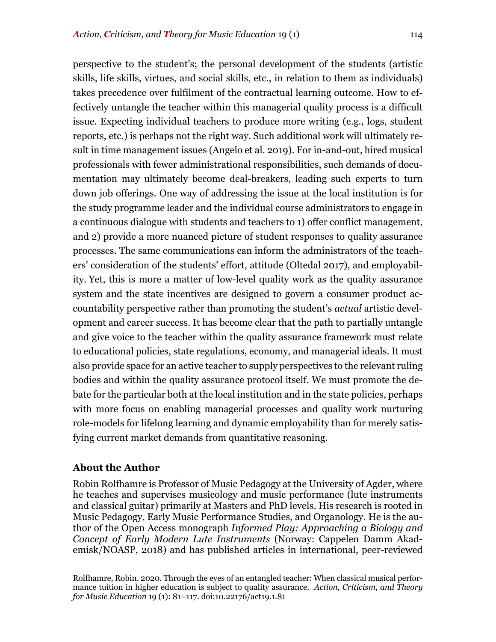perspective to the student's; the personal development of the students (artistic skills, life skills, virtues, and social skills, etc., in relation to them as individuals) takes precedence over fulfilment of the contractual learning outcome. How to effectively untangle the teacher within this managerial quality process is a difficult issue. Expecting individual teachers to produce more writing (e.g., logs, student reports, etc.) is perhaps not the right way. Such additional work will ultimately result in time management issues (Angelo et al. 2019). For in-and-out, hired musical professionals with fewer administrational responsibilities, such demands of documentation may ultimately become deal-breakers, leading such experts to turn down job offerings. One way of addressing the issue at the local institution is for the study programme leader and the individual course administrators to engage in a continuous dialogue with students and teachers to 1) offer conflict management, and 2) provide a more nuanced picture of student responses to quality assurance processes. The same communications can inform the administrators of the teachers' consideration of the students' effort, attitude (Oltedal 2017), and employability. Yet, this is more a matter of low-level quality work as the quality assurance system and the state incentives are designed to govern a consumer product accountability perspective rather than promoting the student's *actual* artistic development and career success. It has become clear that the path to partially untangle and give voice to the teacher within the quality assurance framework must relate to educational policies, state regulations, economy, and managerial ideals. It must also provide space for an active teacher to supply perspectives to the relevant ruling bodies and within the quality assurance protocol itself. We must promote the debate for the particular both at the local institution and in the state policies, perhaps with more focus on enabling managerial processes and quality work nurturing role-models for lifelong learning and dynamic employability than for merely satisfying current market demands from quantitative reasoning.

# **About the Author**

Robin Rolfhamre is Professor of Music Pedagogy at the University of Agder, where he teaches and supervises musicology and music performance (lute instruments and classical guitar) primarily at Masters and PhD levels. His research is rooted in Music Pedagogy, Early Music Performance Studies, and Organology. He is the author of the Open Access monograph *Informed Play: Approaching a Biology and Concept of Early Modern Lute Instruments* (Norway: Cappelen Damm Akademisk/NOASP, 2018) and has published articles in international, peer-reviewed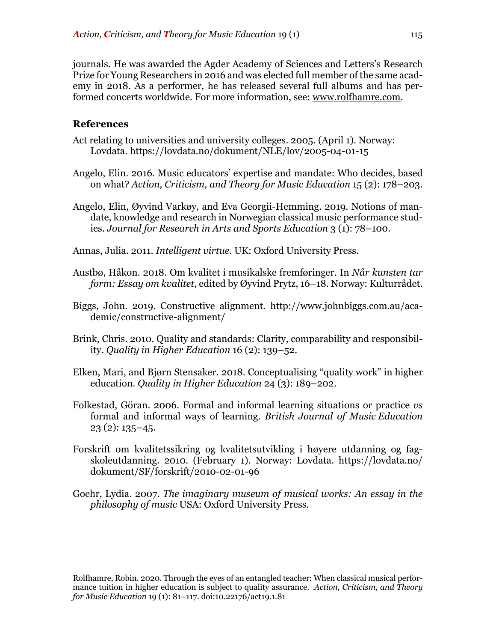journals. He was awarded the Agder Academy of Sciences and Letters's Research Prize for Young Researchers in 2016 and was elected full member of the same academy in 2018. As a performer, he has released several full albums and has performed concerts worldwide. For more information, see: www.rolfhamre.com.

#### **References**

- Act relating to universities and university colleges. 2005. (April 1). Norway: Lovdata. https://lovdata.no/dokument/NLE/lov/2005-04-01-15
- Angelo, Elin. 2016. Music educators' expertise and mandate: Who decides, based on what? *Action, Criticism, and Theory for Music Education* 15 (2): 178–203.
- Angelo, Elin, Øyvind Varkøy, and Eva Georgii-Hemming. 2019. Notions of mandate, knowledge and research in Norwegian classical music performance studies. *Journal for Research in Arts and Sports Education* 3 (1): 78–100.
- Annas, Julia. 2011. *Intelligent virtue.* UK: Oxford University Press.
- Austbø, Håkon. 2018. Om kvalitet i musikalske fremføringer. In *Når kunsten tar form: Essay om kvalitet*, edited by Øyvind Prytz, 16–18. Norway: Kulturrådet.
- Biggs, John. 2019. Constructive alignment. http://www.johnbiggs.com.au/academic/constructive-alignment/
- Brink, Chris. 2010. Quality and standards: Clarity, comparability and responsibility. *Quality in Higher Education* 16 (2): 139–52.
- Elken, Mari, and Bjørn Stensaker. 2018. Conceptualising "quality work" in higher education. *Quality in Higher Education* 24 (3): 189–202.
- Folkestad, Göran. 2006. Formal and informal learning situations or practice *vs* formal and informal ways of learning. *British Journal of Music Education*  23 (2): 135–45.
- Forskrift om kvalitetssikring og kvalitetsutvikling i høyere utdanning og fagskoleutdanning. 2010. (February 1). Norway: Lovdata. https://lovdata.no/ dokument/SF/forskrift/2010-02-01-96
- Goehr, Lydia. 2007. *The imaginary museum of musical works: An essay in the philosophy of music* USA: Oxford University Press.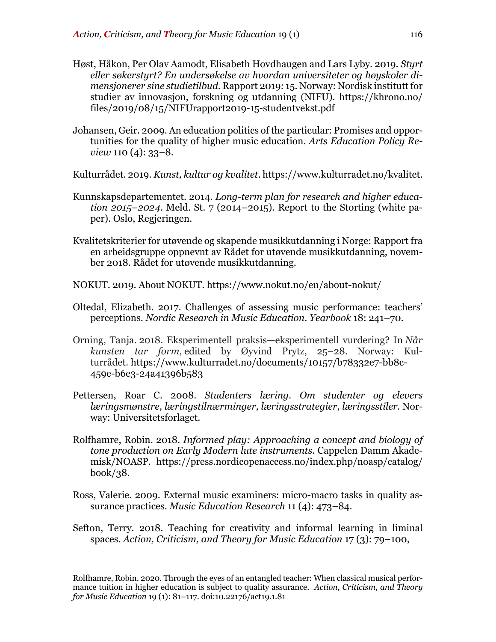- Høst, Håkon, Per Olav Aamodt, Elisabeth Hovdhaugen and Lars Lyby. 2019. *Styrt eller søkerstyrt? En undersøkelse av hvordan universiteter og høyskoler dimensjonerer sine studietilbud.* Rapport 2019: 15. Norway: Nordisk institutt for studier av innovasjon, forskning og utdanning (NIFU). https://khrono.no/ files/2019/08/15/NIFUrapport2019-15-studentvekst.pdf
- Johansen, Geir. 2009. An education politics of the particular: Promises and opportunities for the quality of higher music education. *Arts Education Policy Review* 110 (4): 33–8.

Kulturrådet. 2019. *Kunst, kultur og kvalitet*. https://www.kulturradet.no/kvalitet.

- Kunnskapsdepartementet. 2014. *Long-term plan for research and higher education 2015–2024*. Meld. St. 7 (2014–2015). Report to the Storting (white paper). Oslo, Regjeringen.
- Kvalitetskriterier for utøvende og skapende musikkutdanning i Norge: Rapport fra en arbeidsgruppe oppnevnt av Rådet for utøvende musikkutdanning, november 2018. Rådet for utøvende musikkutdanning.
- NOKUT. 2019. About NOKUT. https://www.nokut.no/en/about-nokut/
- Oltedal, Elizabeth. 2017. Challenges of assessing music performance: teachers' perceptions. *Nordic Research in Music Education. Yearbook* 18: 241–70*.*
- Orning, Tanja. 2018. Eksperimentell praksis—eksperimentell vurdering? In *Når kunsten tar form,* edited by Øyvind Prytz, 25–28. Norway: Kulturrådet. https://www.kulturradet.no/documents/10157/b78332e7-bb8c-459e-b6e3-24a41396b583
- Pettersen, Roar C. 2008. *Studenters læring. Om studenter og elevers læringsmønstre, læringstilnærminger, læringsstrategier, læringsstiler.* Norway: Universitetsforlaget.
- Rolfhamre, Robin. 2018. *Informed play: Approaching a concept and biology of tone production on Early Modern lute instruments.* Cappelen Damm Akademisk/NOASP. https://press.nordicopenaccess.no/index.php/noasp/catalog/ book/38.
- Ross, Valerie. 2009. External music examiners: micro-macro tasks in quality assurance practices. *Music Education Research* 11 (4): 473–84.
- Sefton, Terry. 2018. Teaching for creativity and informal learning in liminal spaces. *Action, Criticism, and Theory for Music Education* 17 (3): 79–100,